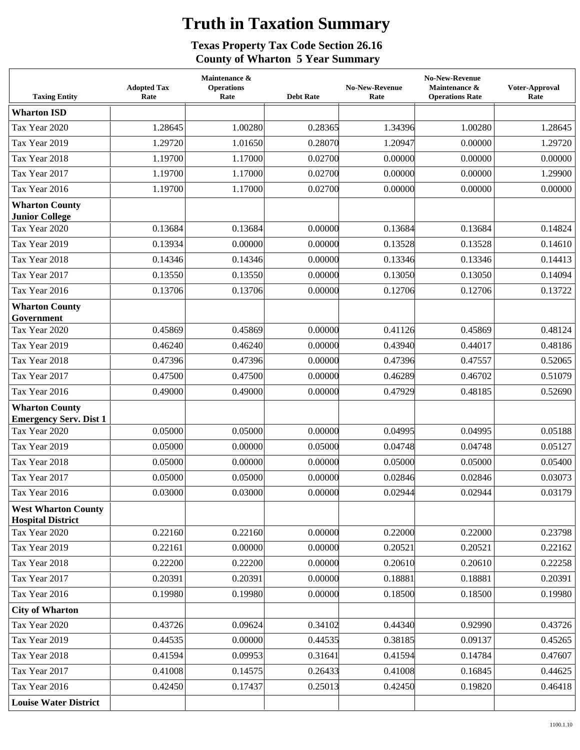## **Truth in Taxation Summary**

## **Texas Property Tax Code Section 26.16 County of Wharton 5 Year Summary**

| <b>Taxing Entity</b>                                   | <b>Adopted Tax</b><br>Rate | Maintenance &<br><b>Operations</b><br>Rate | <b>Debt Rate</b> | <b>No-New-Revenue</b><br>Rate | <b>No-New-Revenue</b><br>Maintenance &<br><b>Operations Rate</b> | Voter-Approval<br>Rate |
|--------------------------------------------------------|----------------------------|--------------------------------------------|------------------|-------------------------------|------------------------------------------------------------------|------------------------|
| <b>Wharton ISD</b>                                     |                            |                                            |                  |                               |                                                                  |                        |
| Tax Year 2020                                          | 1.28645                    | 1.00280                                    | 0.28365          | 1.34396                       | 1.00280                                                          | 1.28645                |
| Tax Year 2019                                          | 1.29720                    | 1.01650                                    | 0.28070          | 1.20947                       | 0.00000                                                          | 1.29720                |
| Tax Year 2018                                          | 1.19700                    | 1.17000                                    | 0.02700          | 0.00000                       | 0.00000                                                          | 0.00000                |
| Tax Year 2017                                          | 1.19700                    | 1.17000                                    | 0.02700          | 0.00000                       | 0.00000                                                          | 1.29900                |
| Tax Year 2016                                          | 1.19700                    | 1.17000                                    | 0.02700          | 0.00000                       | 0.00000                                                          | 0.00000                |
| <b>Wharton County</b><br><b>Junior College</b>         |                            |                                            |                  |                               |                                                                  |                        |
| Tax Year 2020                                          | 0.13684                    | 0.13684                                    | 0.00000          | 0.13684                       | 0.13684                                                          | 0.14824                |
| Tax Year 2019                                          | 0.13934                    | 0.00000                                    | 0.00000          | 0.13528                       | 0.13528                                                          | 0.14610                |
| Tax Year 2018                                          | 0.14346                    | 0.14346                                    | 0.00000          | 0.13346                       | 0.13346                                                          | 0.14413                |
| Tax Year 2017                                          | 0.13550                    | 0.13550                                    | 0.00000          | 0.13050                       | 0.13050                                                          | 0.14094                |
| Tax Year 2016                                          | 0.13706                    | 0.13706                                    | 0.00000          | 0.12706                       | 0.12706                                                          | 0.13722                |
| <b>Wharton County</b><br>Government                    |                            |                                            |                  |                               |                                                                  |                        |
| Tax Year 2020                                          | 0.45869                    | 0.45869                                    | 0.00000          | 0.41126                       | 0.45869                                                          | 0.48124                |
| Tax Year 2019                                          | 0.46240                    | 0.46240                                    | 0.00000          | 0.43940                       | 0.44017                                                          | 0.48186                |
| Tax Year 2018                                          | 0.47396                    | 0.47396                                    | 0.00000          | 0.47396                       | 0.47557                                                          | 0.52065                |
| Tax Year 2017                                          | 0.47500                    | 0.47500                                    | 0.00000          | 0.46289                       | 0.46702                                                          | 0.51079                |
| Tax Year 2016                                          | 0.49000                    | 0.49000                                    | 0.00000          | 0.47929                       | 0.48185                                                          | 0.52690                |
| <b>Wharton County</b><br><b>Emergency Serv. Dist 1</b> |                            |                                            |                  |                               |                                                                  |                        |
| Tax Year 2020                                          | 0.05000                    | 0.05000                                    | 0.00000          | 0.04995                       | 0.04995                                                          | 0.05188                |
| Tax Year 2019                                          | 0.05000                    | 0.00000                                    | 0.05000          | 0.04748                       | 0.04748                                                          | 0.05127                |
| Tax Year 2018                                          | 0.05000                    | 0.00000                                    | 0.00000          | 0.05000                       | 0.05000                                                          | 0.05400                |
| Tax Year 2017                                          | 0.05000                    | 0.05000                                    | 0.00000          | 0.02846                       | 0.02846                                                          | 0.03073                |
| Tax Year 2016                                          | 0.03000                    | 0.03000                                    | 0.00000          | 0.02944                       | 0.02944                                                          | 0.03179                |
| <b>West Wharton County</b><br><b>Hospital District</b> |                            |                                            |                  |                               |                                                                  |                        |
| Tax Year 2020                                          | 0.22160                    | 0.22160                                    | 0.00000          | 0.22000                       | 0.22000                                                          | 0.23798                |
| Tax Year 2019                                          | 0.22161                    | 0.00000                                    | 0.00000          | 0.20521                       | 0.20521                                                          | 0.22162                |
| Tax Year 2018                                          | 0.22200                    | 0.22200                                    | 0.00000          | 0.20610                       | 0.20610                                                          | 0.22258                |
| Tax Year 2017                                          | 0.20391                    | 0.20391                                    | 0.00000          | 0.18881                       | 0.18881                                                          | 0.20391                |
| Tax Year 2016                                          | 0.19980                    | 0.19980                                    | 0.00000          | 0.18500                       | 0.18500                                                          | 0.19980                |
| <b>City of Wharton</b>                                 |                            |                                            |                  |                               |                                                                  |                        |
| Tax Year 2020                                          | 0.43726                    | 0.09624                                    | 0.34102          | 0.44340                       | 0.92990                                                          | 0.43726                |
| Tax Year 2019                                          | 0.44535                    | 0.00000                                    | 0.44535          | 0.38185                       | 0.09137                                                          | 0.45265                |
| Tax Year 2018                                          | 0.41594                    | 0.09953                                    | 0.31641          | 0.41594                       | 0.14784                                                          | 0.47607                |
| Tax Year 2017                                          | 0.41008                    | 0.14575                                    | 0.26433          | 0.41008                       | 0.16845                                                          | 0.44625                |
| Tax Year 2016                                          | 0.42450                    | 0.17437                                    | 0.25013          | 0.42450                       | 0.19820                                                          | 0.46418                |
| <b>Louise Water District</b>                           |                            |                                            |                  |                               |                                                                  |                        |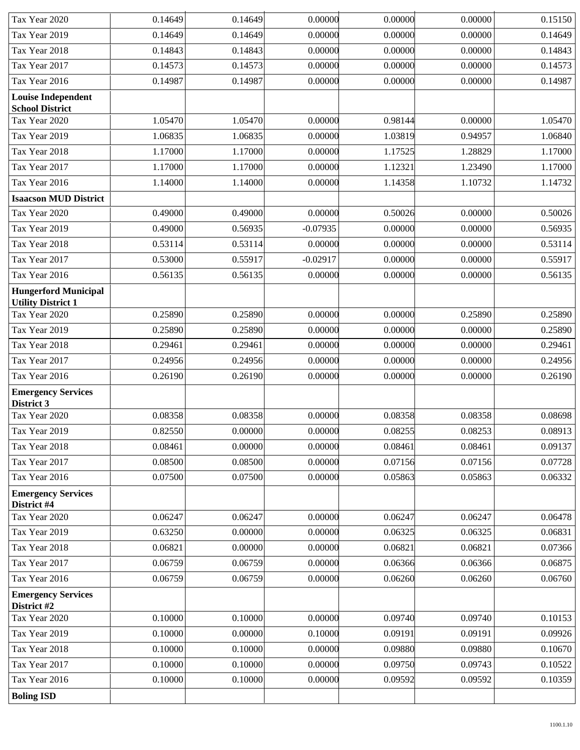| Tax Year 2020                            | 0.14649            | 0.14649            | 0.00000            | 0.00000            | 0.00000            | 0.15150            |
|------------------------------------------|--------------------|--------------------|--------------------|--------------------|--------------------|--------------------|
| Tax Year 2019                            | 0.14649            | 0.14649            | 0.00000            | 0.00000            | 0.00000            | 0.14649            |
| Tax Year 2018                            | 0.14843            | 0.14843            | 0.00000            | 0.00000            | 0.00000            | 0.14843            |
| Tax Year 2017                            | 0.14573            | 0.14573            | 0.00000            | 0.00000            | 0.00000            | 0.14573            |
| Tax Year 2016                            | 0.14987            | 0.14987            | 0.00000            | 0.00000            | 0.00000            | 0.14987            |
| <b>Louise Independent</b>                |                    |                    |                    |                    |                    |                    |
| <b>School District</b><br>Tax Year 2020  | 1.05470            | 1.05470            | 0.00000            | 0.98144            | 0.00000            | 1.05470            |
| Tax Year 2019                            | 1.06835            | 1.06835            | 0.00000            | 1.03819            | 0.94957            | 1.06840            |
| Tax Year 2018                            | 1.17000            | 1.17000            | 0.00000            | 1.17525            | 1.28829            | 1.17000            |
| Tax Year 2017                            | 1.17000            | 1.17000            | 0.00000            | 1.12321            | 1.23490            | 1.17000            |
| Tax Year 2016                            | 1.14000            | 1.14000            | 0.00000            | 1.14358            | 1.10732            | 1.14732            |
| <b>Isaacson MUD District</b>             |                    |                    |                    |                    |                    |                    |
| Tax Year 2020                            | 0.49000            | 0.49000            | 0.00000            | 0.50026            | 0.00000            | 0.50026            |
| Tax Year 2019                            | 0.49000            | 0.56935            | $-0.07935$         | 0.00000            | 0.00000            | 0.56935            |
| Tax Year 2018                            | 0.53114            | 0.53114            | 0.00000            | 0.00000            | 0.00000            | 0.53114            |
| Tax Year 2017                            | 0.53000            | 0.55917            | $-0.02917$         | 0.00000            | 0.00000            | 0.55917            |
| Tax Year 2016                            | 0.56135            | 0.56135            | 0.00000            | 0.00000            | 0.00000            | 0.56135            |
| <b>Hungerford Municipal</b>              |                    |                    |                    |                    |                    |                    |
| <b>Utility District 1</b>                |                    |                    |                    |                    |                    |                    |
| Tax Year 2020                            | 0.25890            | 0.25890            | 0.00000            | 0.00000            | 0.25890            | 0.25890            |
| Tax Year 2019                            | 0.25890            | 0.25890            | 0.00000            | 0.00000            | 0.00000            | 0.25890            |
| Tax Year 2018                            | 0.29461            | 0.29461            | 0.00000            | 0.00000            | 0.00000            | 0.29461            |
| Tax Year 2017                            | 0.24956            | 0.24956            | 0.00000            | 0.00000            | 0.00000            | 0.24956            |
| Tax Year 2016                            | 0.26190            | 0.26190            | 0.00000            | 0.00000            | 0.00000            | 0.26190            |
| <b>Emergency Services</b><br>District 3  |                    |                    |                    |                    |                    |                    |
| Tax Year 2020                            | 0.08358            | 0.08358            | 0.00000            | 0.08358            | 0.08358            | 0.08698            |
| Tax Year 2019                            | 0.82550            | 0.00000            | 0.00000            | 0.08255            | 0.08253            | 0.08913            |
| Tax Year 2018                            | 0.08461            | 0.00000            | 0.00000            | 0.08461            | 0.08461            | 0.09137            |
| Tax Year 2017                            | 0.08500            | 0.08500            | 0.00000            | 0.07156            | 0.07156            | 0.07728            |
| Tax Year 2016                            | 0.07500            | 0.07500            | 0.00000            | 0.05863            | 0.05863            | 0.06332            |
| <b>Emergency Services</b>                |                    |                    |                    |                    |                    |                    |
| District #4                              |                    |                    |                    |                    |                    |                    |
| Tax Year 2020                            | 0.06247            | 0.06247<br>0.00000 | 0.00000<br>0.00000 | 0.06247            | 0.06247            | 0.06478<br>0.06831 |
| Tax Year 2019<br>Tax Year 2018           | 0.63250<br>0.06821 | 0.00000            | 0.00000            | 0.06325<br>0.06821 | 0.06325<br>0.06821 | 0.07366            |
| Tax Year 2017                            | 0.06759            | 0.06759            | 0.00000            | 0.06366            | 0.06366            | 0.06875            |
| Tax Year 2016                            | 0.06759            | 0.06759            | 0.00000            | 0.06260            | 0.06260            | 0.06760            |
|                                          |                    |                    |                    |                    |                    |                    |
| <b>Emergency Services</b><br>District #2 |                    |                    |                    |                    |                    |                    |
| Tax Year 2020                            | 0.10000            | 0.10000            | 0.00000            | 0.09740            | 0.09740            | 0.10153            |
| Tax Year 2019                            | 0.10000            | 0.00000            | 0.10000            | 0.09191            | 0.09191            | 0.09926            |
| Tax Year 2018                            | 0.10000            | 0.10000            | 0.00000            | 0.09880            | 0.09880            | 0.10670            |
| Tax Year 2017                            | 0.10000            | 0.10000            | 0.00000            | 0.09750            | 0.09743            | 0.10522            |
| Tax Year 2016                            | 0.10000            | 0.10000            | 0.00000            | 0.09592            | 0.09592            | 0.10359            |
| <b>Boling ISD</b>                        |                    |                    |                    |                    |                    |                    |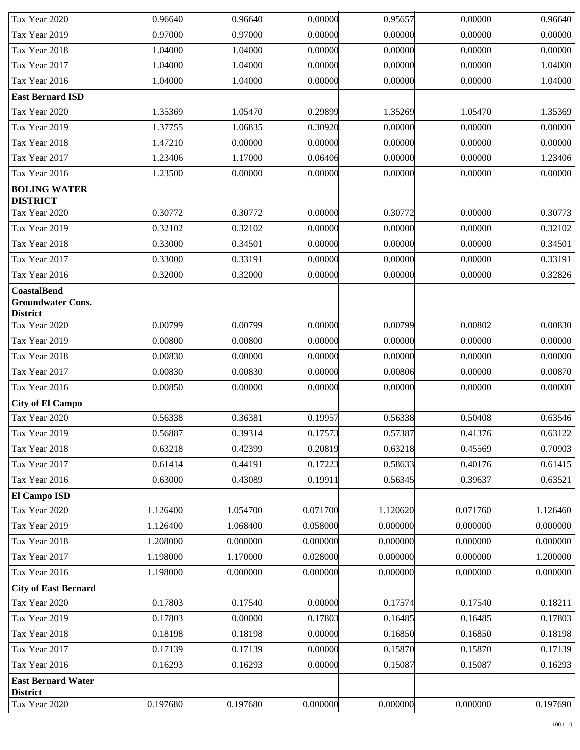| Tax Year 2020                                                     | 0.96640  | 0.96640  | 0.00000  | 0.95657  | 0.00000  | 0.96640  |
|-------------------------------------------------------------------|----------|----------|----------|----------|----------|----------|
| Tax Year 2019                                                     | 0.97000  | 0.97000  | 0.00000  | 0.00000  | 0.00000  | 0.00000  |
| Tax Year 2018                                                     | 1.04000  | 1.04000  | 0.00000  | 0.00000  | 0.00000  | 0.00000  |
| Tax Year 2017                                                     | 1.04000  | 1.04000  | 0.00000  | 0.00000  | 0.00000  | 1.04000  |
| Tax Year 2016                                                     | 1.04000  | 1.04000  | 0.00000  | 0.00000  | 0.00000  | 1.04000  |
| <b>East Bernard ISD</b>                                           |          |          |          |          |          |          |
| Tax Year 2020                                                     | 1.35369  | 1.05470  | 0.29899  | 1.35269  | 1.05470  | 1.35369  |
| Tax Year 2019                                                     | 1.37755  | 1.06835  | 0.30920  | 0.00000  | 0.00000  | 0.00000  |
| Tax Year 2018                                                     | 1.47210  | 0.00000  | 0.00000  | 0.00000  | 0.00000  | 0.00000  |
| Tax Year 2017                                                     | 1.23406  | 1.17000  | 0.06406  | 0.00000  | 0.00000  | 1.23406  |
| Tax Year 2016                                                     | 1.23500  | 0.00000  | 0.00000  | 0.00000  | 0.00000  | 0.00000  |
| <b>BOLING WATER</b><br><b>DISTRICT</b>                            |          |          |          |          |          |          |
| Tax Year 2020                                                     | 0.30772  | 0.30772  | 0.00000  | 0.30772  | 0.00000  | 0.30773  |
| Tax Year 2019                                                     | 0.32102  | 0.32102  | 0.00000  | 0.00000  | 0.00000  | 0.32102  |
| Tax Year 2018                                                     | 0.33000  | 0.34501  | 0.00000  | 0.00000  | 0.00000  | 0.34501  |
| Tax Year 2017                                                     | 0.33000  | 0.33191  | 0.00000  | 0.00000  | 0.00000  | 0.33191  |
| Tax Year 2016                                                     | 0.32000  | 0.32000  | 0.00000  | 0.00000  | 0.00000  | 0.32826  |
| <b>CoastalBend</b><br><b>Groundwater Cons.</b><br><b>District</b> |          |          |          |          |          |          |
| Tax Year 2020                                                     | 0.00799  | 0.00799  | 0.00000  | 0.00799  | 0.00802  | 0.00830  |
| Tax Year 2019                                                     | 0.00800  | 0.00800  | 0.00000  | 0.00000  | 0.00000  | 0.00000  |
| Tax Year 2018                                                     | 0.00830  | 0.00000  | 0.00000  | 0.00000  | 0.00000  | 0.00000  |
| Tax Year 2017                                                     | 0.00830  | 0.00830  | 0.00000  | 0.00806  | 0.00000  | 0.00870  |
| Tax Year 2016                                                     | 0.00850  | 0.00000  | 0.00000  | 0.00000  | 0.00000  | 0.00000  |
| <b>City of El Campo</b>                                           |          |          |          |          |          |          |
| Tax Year 2020                                                     | 0.56338  | 0.36381  | 0.19957  | 0.56338  | 0.50408  | 0.63546  |
| Tax Year 2019                                                     | 0.56887  | 0.39314  | 0.17573  | 0.57387  | 0.41376  | 0.63122  |
| Tax Year 2018                                                     | 0.63218  | 0.42399  | 0.20819  | 0.63218  | 0.45569  | 0.70903  |
| Tax Year 2017                                                     | 0.61414  | 0.44191  | 0.17223  | 0.58633  | 0.40176  | 0.61415  |
| Tax Year 2016                                                     | 0.63000  | 0.43089  | 0.19911  | 0.56345  | 0.39637  | 0.63521  |
| El Campo ISD                                                      |          |          |          |          |          |          |
| Tax Year 2020                                                     | 1.126400 | 1.054700 | 0.071700 | 1.120620 | 0.071760 | 1.126460 |
| Tax Year 2019                                                     | 1.126400 | 1.068400 | 0.058000 | 0.000000 | 0.000000 | 0.000000 |
| Tax Year 2018                                                     | 1.208000 | 0.000000 | 0.000000 | 0.000000 | 0.000000 | 0.000000 |
| Tax Year 2017                                                     | 1.198000 | 1.170000 | 0.028000 | 0.000000 | 0.000000 | 1.200000 |
| Tax Year 2016                                                     | 1.198000 | 0.000000 | 0.000000 | 0.000000 | 0.000000 | 0.000000 |
| <b>City of East Bernard</b>                                       |          |          |          |          |          |          |
| Tax Year 2020                                                     | 0.17803  | 0.17540  | 0.00000  | 0.17574  | 0.17540  | 0.18211  |
| Tax Year 2019                                                     | 0.17803  | 0.00000  | 0.17803  | 0.16485  | 0.16485  | 0.17803  |
| Tax Year 2018                                                     | 0.18198  | 0.18198  | 0.00000  | 0.16850  | 0.16850  | 0.18198  |
| Tax Year 2017                                                     | 0.17139  | 0.17139  | 0.00000  | 0.15870  | 0.15870  | 0.17139  |
| Tax Year 2016                                                     | 0.16293  | 0.16293  | 0.00000  | 0.15087  | 0.15087  | 0.16293  |
| <b>East Bernard Water</b><br><b>District</b>                      |          |          |          |          |          |          |
| Tax Year 2020                                                     | 0.197680 | 0.197680 | 0.000000 | 0.000000 | 0.000000 | 0.197690 |